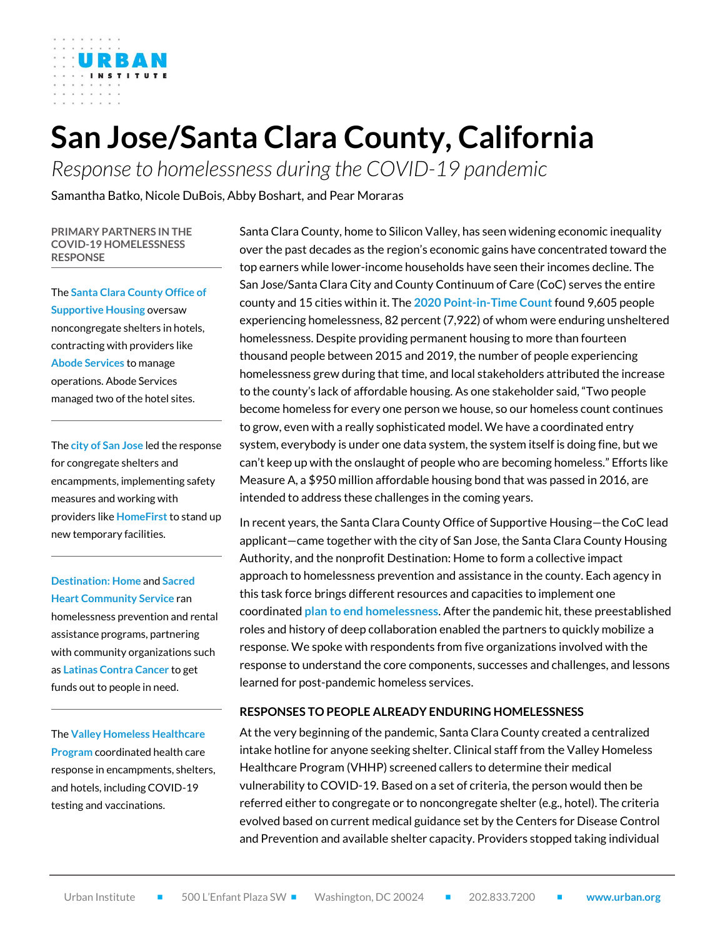# **San Jose/Santa Clara County, California**

*Response to homelessness during the COVID-19 pandemic*

Samantha Batko, Nicole DuBois, Abby Boshart, and Pear Moraras

#### **PRIMARY PARTNERS IN THE COVID-19 HOMELESSNESS RESPONSE**

The **Santa Clara County Office of Supportive Housing** oversaw noncongregate shelters in hotels, contracting with providers like **Abode Services** to manage operations. Abode Services managed two of the hotel sites.

The **city of San Jose** led the response for congregate shelters and encampments, implementing safety measures and working with providers like **HomeFirst** to stand up new temporary facilities.

**Destination: Home** and **Sacred Heart Community Service** ran homelessness prevention and rental assistance programs, partnering with community organizations such as **Latinas Contra Cancer** to get funds out to people in need.

The **Valley Homeless Healthcare Program** coordinated health care response in encampments, shelters, and hotels, including COVID-19 testing and vaccinations.

Santa Clara County, home to Silicon Valley, has seen widening economic inequality over the past decades as the region's economic gains have concentrated toward the top earners while lower-income households have seen their incomes decline. The San Jose/Santa Clara City and County Continuum of Care (CoC) serves the entire county and 15 cities within it. The **[2020 Point-in-Time Count](https://files.hudexchange.info/reports/published/CoC_PopSub_CoC_CA-500-2020_CA_2020.pdf)** found 9,605 people experiencing homelessness, 82 percent (7,922) of whom were enduring unsheltered homelessness. Despite providing permanent housing to more than fourteen thousand people between 2015 and 2019, the number of people experiencing homelessness grew during that time, and local stakeholders attributed the increase to the county's lack of affordable housing. As one stakeholder said, "Two people become homeless for every one person we house, so our homeless count continues to grow, even with a really sophisticated model. We have a coordinated entry system, everybody is under one data system, the system itself is doing fine, but we can't keep up with the onslaught of people who are becoming homeless." Efforts like Measure A, a \$950 million affordable housing bond that was passed in 2016, are intended to address these challenges in the coming years.

In recent years, the Santa Clara County Office of Supportive Housing—the CoC lead applicant—came together with the city of San Jose, the Santa Clara County Housing Authority, and the nonprofit Destination: Home to form a collective impact approach to homelessness prevention and assistance in the county. Each agency in this task force brings different resources and capacities to implement one coordinated **[plan to end homelessness](https://destinationhomesv.org/end-homelessness/)**. After the pandemic hit, these preestablished roles and history of deep collaboration enabled the partners to quickly mobilize a response. We spoke with respondents from five organizations involved with the response to understand the core components, successes and challenges, and lessons learned for post-pandemic homeless services.

#### **RESPONSES TO PEOPLE ALREADY ENDURING HOMELESSNESS**

At the very beginning of the pandemic, Santa Clara County created a centralized intake hotline for anyone seeking shelter. Clinical staff from the Valley Homeless Healthcare Program (VHHP) screened callers to determine their medical vulnerability to COVID-19. Based on a set of criteria, the person would then be referred either to congregate or to noncongregate shelter (e.g., hotel). The criteria evolved based on current medical guidance set by the Centers for Disease Control and Prevention and available shelter capacity. Providers stopped taking individual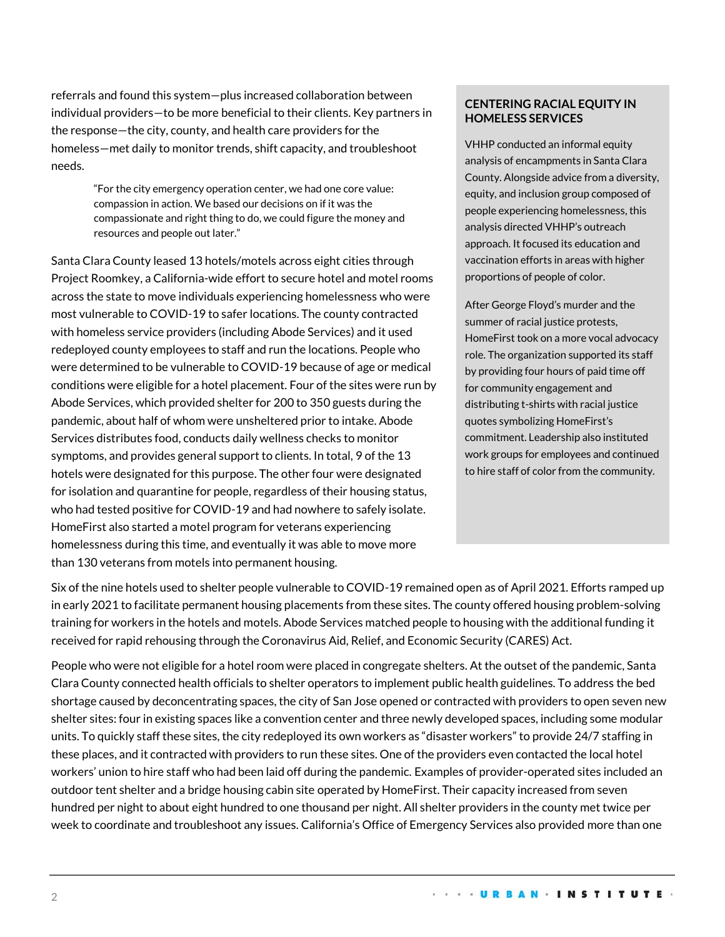referrals and found this system—plus increased collaboration between individual providers—to be more beneficial to their clients. Key partners in the response—the city, county, and health care providers for the homeless—met daily to monitor trends, shift capacity, and troubleshoot needs.

> "For the city emergency operation center, we had one core value: compassion in action. We based our decisions on if it was the compassionate and right thing to do, we could figure the money and resources and people out later."

Santa Clara County leased 13 hotels/motels across eight cities through Project Roomkey, a California-wide effort to secure hotel and motel rooms across the state to move individuals experiencing homelessness who were most vulnerable to COVID-19 to safer locations. The county contracted with homeless service providers (including Abode Services) and it used redeployed county employees to staff and run the locations. People who were determined to be vulnerable to COVID-19 because of age or medical conditions were eligible for a hotel placement. Four of the sites were run by Abode Services, which provided shelter for 200 to 350 guests during the pandemic, about half of whom were unsheltered prior to intake. Abode Services distributes food, conducts daily wellness checks to monitor symptoms, and provides general support to clients. In total, 9 of the 13 hotels were designated for this purpose. The other four were designated for isolation and quarantine for people, regardless of their housing status, who had tested positive for COVID-19 and had nowhere to safely isolate. HomeFirst also started a motel program for veterans experiencing homelessness during this time, and eventually it was able to move more than 130 veterans from motels into permanent housing.

## **CENTERING RACIAL EQUITY IN HOMELESS SERVICES**

VHHP conducted an informal equity analysis of encampments in Santa Clara County. Alongside advice from a diversity, equity, and inclusion group composed of people experiencing homelessness, this analysis directed VHHP's outreach approach. It focused its education and vaccination efforts in areas with higher proportions of people of color.

After George Floyd's murder and the summer of racial justice protests, HomeFirst took on a more vocal advocacy role. The organization supported its staff by providing four hours of paid time off for community engagement and distributing t-shirts with racial justice quotes symbolizing HomeFirst's commitment. Leadership also instituted work groups for employees and continued to hire staff of color from the community.

Six of the nine hotels used to shelter people vulnerable to COVID-19 remained open as of April 2021. Efforts ramped up in early 2021 to facilitate permanent housing placements from these sites. The county offered housing problem-solving training for workers in the hotels and motels. Abode Services matched people to housing with the additional funding it received for rapid rehousing through the Coronavirus Aid, Relief, and Economic Security (CARES) Act.

People who were not eligible for a hotel room were placed in congregate shelters. At the outset of the pandemic, Santa Clara County connected health officials to shelter operators to implement public health guidelines. To address the bed shortage caused by deconcentrating spaces, the city of San Jose opened or contracted with providers to open seven new shelter sites: four in existing spaces like a convention center and three newly developed spaces, including some modular units. To quickly staff these sites, the city redeployed its own workers as "disaster workers" to provide 24/7 staffing in these places, and it contracted with providers to run these sites. One of the providers even contacted the local hotel workers' union to hire staff who had been laid off during the pandemic. Examples of provider-operated sites included an outdoor tent shelter and a bridge housing cabin site operated by HomeFirst. Their capacity increased from seven hundred per night to about eight hundred to one thousand per night. All shelter providers in the county met twice per week to coordinate and troubleshoot any issues. California's Office of Emergency Services also provided more than one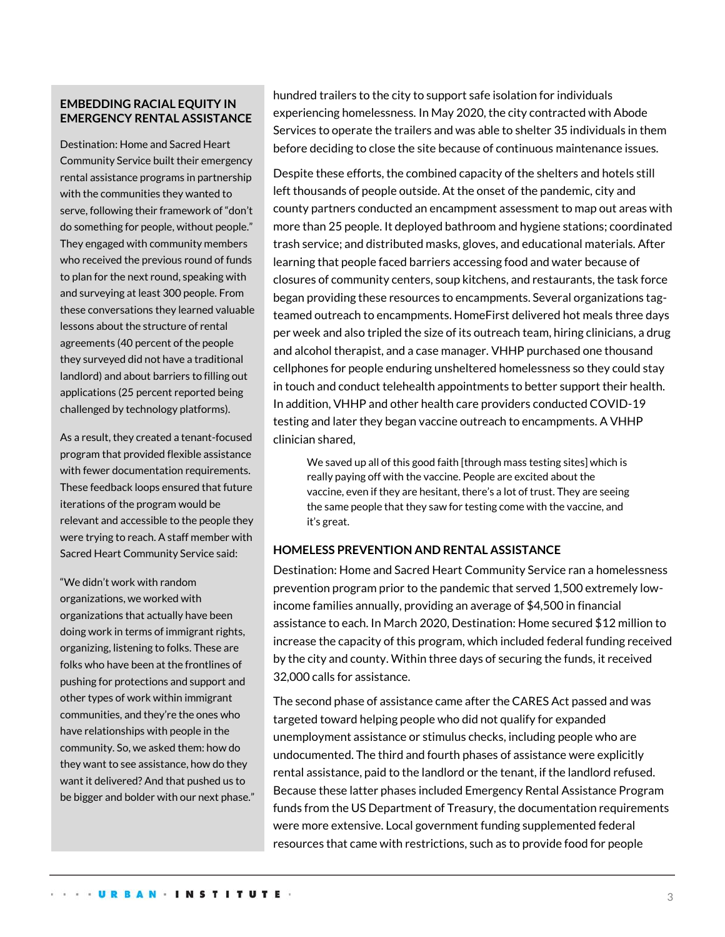## **EMBEDDING RACIAL EQUITY IN EMERGENCY RENTAL ASSISTANCE**

Destination: Home and Sacred Heart Community Service built their emergency rental assistance programs in partnership with the communities they wanted to serve, following their framework of "don't do something for people, without people." They engaged with community members who received the previous round of funds to plan for the next round, speaking with and surveying at least 300 people. From these conversations they learned valuable lessons about the structure of rental agreements (40 percent of the people they surveyed did not have a traditional landlord) and about barriers to filling out applications (25 percent reported being challenged by technology platforms).

As a result, they created a tenant-focused program that provided flexible assistance with fewer documentation requirements. These feedback loops ensured that future iterations of the program would be relevant and accessible to the people they were trying to reach. A staff member with Sacred Heart Community Service said:

"We didn't work with random organizations, we worked with organizations that actually have been doing work in terms of immigrant rights, organizing, listening to folks. These are folks who have been at the frontlines of pushing for protections and support and other types of work within immigrant communities, and they're the ones who have relationships with people in the community. So, we asked them: how do they want to see assistance, how do they want it delivered? And that pushed us to be bigger and bolder with our next phase." hundred trailers to the city to support safe isolation for individuals experiencing homelessness. In May 2020, the city contracted with Abode Services to operate the trailers and was able to shelter 35 individuals in them before deciding to close the site because of continuous maintenance issues.

Despite these efforts, the combined capacity of the shelters and hotels still left thousands of people outside. At the onset of the pandemic, city and county partners conducted an encampment assessment to map out areas with more than 25 people. It deployed bathroom and hygiene stations; coordinated trash service; and distributed masks, gloves, and educational materials. After learning that people faced barriers accessing food and water because of closures of community centers, soup kitchens, and restaurants, the task force began providing these resources to encampments. Several organizations tagteamed outreach to encampments. HomeFirst delivered hot meals three days per week and also tripled the size of its outreach team, hiring clinicians, a drug and alcohol therapist, and a case manager. VHHP purchased one thousand cellphones for people enduring unsheltered homelessness so they could stay in touch and conduct telehealth appointments to better support their health. In addition, VHHP and other health care providers conducted COVID-19 testing and later they began vaccine outreach to encampments. A VHHP clinician shared,

We saved up all of this good faith [through mass testing sites] which is really paying off with the vaccine. People are excited about the vaccine, even if they are hesitant, there's a lot of trust. They are seeing the same people that they saw for testing come with the vaccine, and it's great.

## **HOMELESS PREVENTION AND RENTAL ASSISTANCE**

Destination: Home and Sacred Heart Community Service ran a homelessness prevention program prior to the pandemic that served 1,500 extremely lowincome families annually, providing an average of \$4,500 in financial assistance to each. In March 2020, Destination: Home secured \$12 million to increase the capacity of this program, which included federal funding received by the city and county. Within three days of securing the funds, it received 32,000 calls for assistance.

The second phase of assistance came after the CARES Act passed and was targeted toward helping people who did not qualify for expanded unemployment assistance or stimulus checks, including people who are undocumented. The third and fourth phases of assistance were explicitly rental assistance, paid to the landlord or the tenant, if the landlord refused. Because these latter phases included Emergency Rental Assistance Program funds from the US Department of Treasury, the documentation requirements were more extensive. Local government funding supplemented federal resources that came with restrictions, such as to provide food for people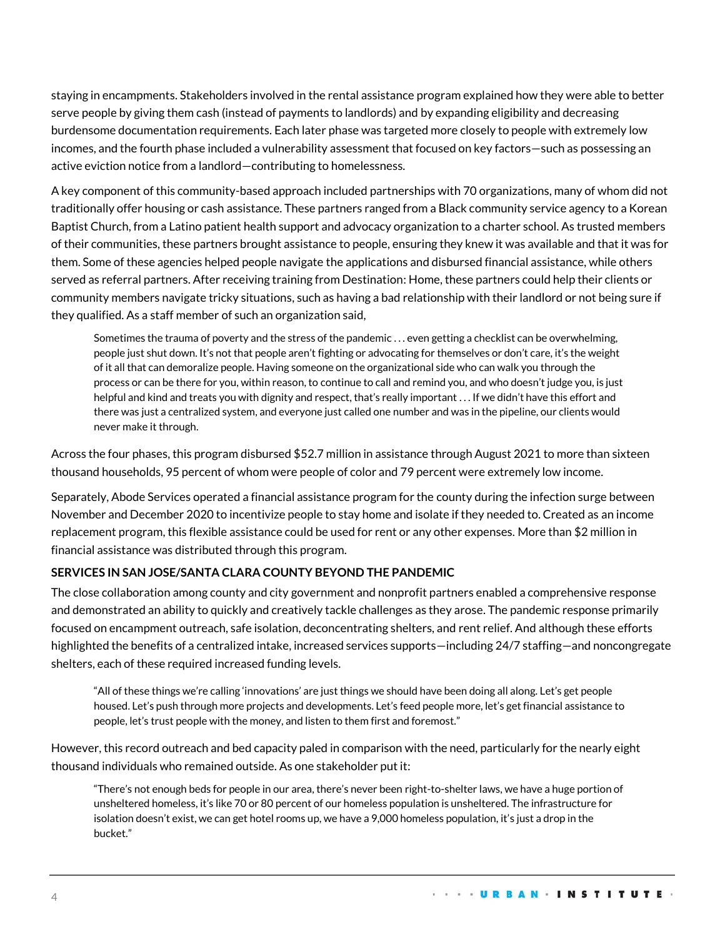staying in encampments. Stakeholders involved in the rental assistance program explained how they were able to better serve people by giving them cash (instead of payments to landlords) and by expanding eligibility and decreasing burdensome documentation requirements. Each later phase was targeted more closely to people with extremely low incomes, and the fourth phase included a vulnerability assessment that focused on key factors—such as possessing an active eviction notice from a landlord—contributing to homelessness.

A key component of this community-based approach included partnerships with 70 organizations, many of whom did not traditionally offer housing or cash assistance. These partners ranged from a Black community service agency to a Korean Baptist Church, from a Latino patient health support and advocacy organization to a charter school. As trusted members of their communities, these partners brought assistance to people, ensuring they knew it was available and that it was for them. Some of these agencies helped people navigate the applications and disbursed financial assistance, while others served as referral partners. After receiving training from Destination: Home, these partners could help their clients or community members navigate tricky situations, such as having a bad relationship with their landlord or not being sure if they qualified. As a staff member of such an organization said,

Sometimes the trauma of poverty and the stress of the pandemic . . . even getting a checklist can be overwhelming, people just shut down. It's not that people aren't fighting or advocating for themselves or don't care, it's the weight of it all that can demoralize people. Having someone on the organizational side who can walk you through the process or can be there for you, within reason, to continue to call and remind you, and who doesn't judge you, is just helpful and kind and treats you with dignity and respect, that's really important . . . If we didn't have this effort and there was just a centralized system, and everyone just called one number and was in the pipeline, our clients would never make it through.

Across the four phases, this program disbursed \$52.7 million in assistance through August 2021 to more than sixteen thousand households, 95 percent of whom were people of color and 79 percent were extremely low income.

Separately, Abode Services operated a financial assistance program for the county during the infection surge between November and December 2020 to incentivize people to stay home and isolate if they needed to. Created as an income replacement program, this flexible assistance could be used for rent or any other expenses. More than \$2 million in financial assistance was distributed through this program.

## **SERVICES IN SAN JOSE/SANTA CLARA COUNTY BEYOND THE PANDEMIC**

The close collaboration among county and city government and nonprofit partners enabled a comprehensive response and demonstrated an ability to quickly and creatively tackle challenges as they arose. The pandemic response primarily focused on encampment outreach, safe isolation, deconcentrating shelters, and rent relief. And although these efforts highlighted the benefits of a centralized intake, increased services supports—including 24/7 staffing—and noncongregate shelters, each of these required increased funding levels.

"All of these things we're calling 'innovations' are just things we should have been doing all along. Let's get people housed. Let's push through more projects and developments. Let's feed people more, let's get financial assistance to people, let's trust people with the money, and listen to them first and foremost."

However, this record outreach and bed capacity paled in comparison with the need, particularly for the nearly eight thousand individuals who remained outside. As one stakeholder put it:

"There's not enough beds for people in our area, there's never been right-to-shelter laws, we have a huge portion of unsheltered homeless, it's like 70 or 80 percent of our homeless population is unsheltered. The infrastructure for isolation doesn't exist, we can get hotel rooms up, we have a 9,000 homeless population, it's just a drop in the bucket."